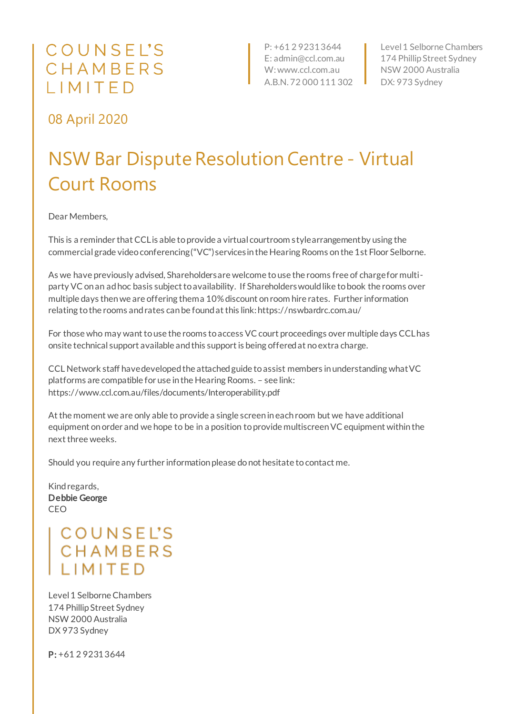## COUNSEL'S CHAMBERS IIMITED

P: +61 2 9231 3644 E: admin@ccl.com.au W: www.ccl.com.au A.B.N. 72 000 111 302

Level 1 Selborne Chambers 174 Phillip Street Sydney NSW 2000 Australia DX: 973 Sydney

08 April 2020

## NSW Bar Dispute ResolutionCentre - Virtual Court Rooms

Dear Members,

This is a reminder that CCL is able to provide a virtual courtroom style arrangement by using the commercial grade video conferencing ("VC") services in the Hearing Rooms on the 1st Floor Selborne.

As we have previously advised, Shareholders are welcome to use the rooms free of charge for multiparty VC on an ad hoc basis subject to availability. If Shareholders would like to book the rooms over multiple days then we are offering them a 10% discount on room hire rates. Further information relating to the rooms and rates can be found at this link: https://nswbardrc.com.au/

For those who may want to use the rooms to access VC court proceedings over multiple days CCL has onsite technical support available and this support is being offered at no extra charge.

CCL Network staff have developed the attached guide to assist members in understanding what VC platforms are compatible for use in the Hearing Rooms. – see link: https://www.ccl.com.au/files/documents/Interoperability.pdf

At the moment we are only able to provide a single screen in each room but we have additional equipment on order and we hope to be in a position to provide multiscreen VC equipment within the next three weeks.

Should you require any further information please do not hesitate to contact me.

Kind regards, Debbie George CEO

> **COUNSEL'S** CHAMBERS **I IMITED**

Level 1 Selborne Chambers 174 Phillip Street Sydney NSW 2000 Australia DX 973 Sydney

P: +61 2 9231 3644